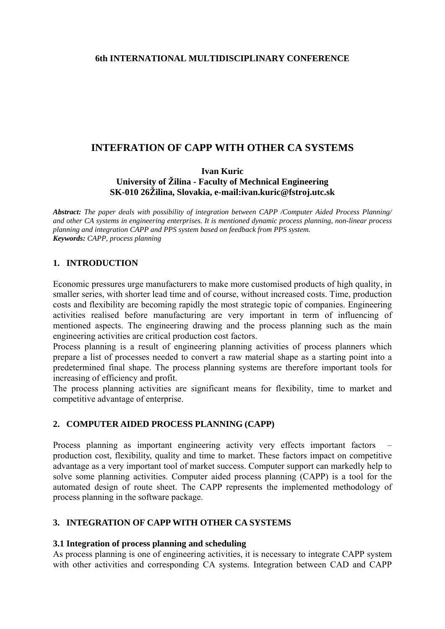### **6th INTERNATIONAL MULTIDISCIPLINARY CONFERENCE**

# **INTEFRATION OF CAPP WITH OTHER CA SYSTEMS**

**Ivan Kuric University of Žilina - Faculty of Mechnical Engineering SK-010 26Žilina, Slovakia, e-mail:ivan.kuric@fstroj.utc.sk** 

*Abstract: The paper deals with possibility of integration between CAPP /Computer Aided Process Planning/ and other CA systems in engineering enterprises. It is mentioned dynamic process planning, non-linear process planning and integration CAPP and PPS system based on feedback from PPS system. Keywords: CAPP, process planning*

### **1. INTRODUCTION**

Economic pressures urge manufacturers to make more customised products of high quality, in smaller series, with shorter lead time and of course, without increased costs. Time, production costs and flexibility are becoming rapidly the most strategic topic of companies. Engineering activities realised before manufacturing are very important in term of influencing of mentioned aspects. The engineering drawing and the process planning such as the main engineering activities are critical production cost factors.

Process planning is a result of engineering planning activities of process planners which prepare a list of processes needed to convert a raw material shape as a starting point into a predetermined final shape. The process planning systems are therefore important tools for increasing of efficiency and profit.

The process planning activities are significant means for flexibility, time to market and competitive advantage of enterprise.

### **2. COMPUTER AIDED PROCESS PLANNING (CAPP)**

Process planning as important engineering activity very effects important factors production cost, flexibility, quality and time to market. These factors impact on competitive advantage as a very important tool of market success. Computer support can markedly help to solve some planning activities. Computer aided process planning (CAPP) is a tool for the automated design of route sheet. The CAPP represents the implemented methodology of process planning in the software package.

### **3. INTEGRATION OF CAPP WITH OTHER CA SYSTEMS**

### **3.1 Integration of process planning and scheduling**

As process planning is one of engineering activities, it is necessary to integrate CAPP system with other activities and corresponding CA systems. Integration between CAD and CAPP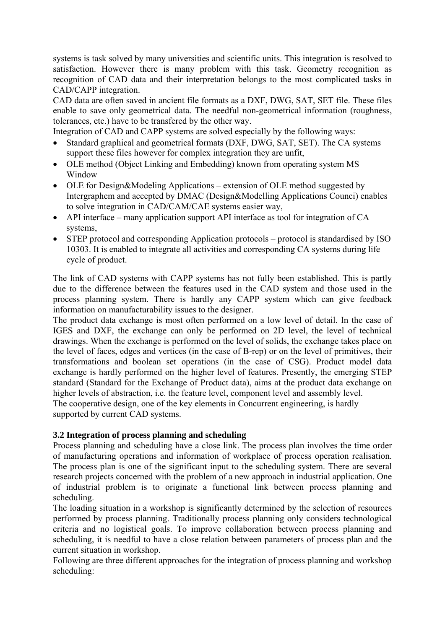systems is task solved by many universities and scientific units. This integration is resolved to satisfaction. However there is many problem with this task. Geometry recognition as recognition of CAD data and their interpretation belongs to the most complicated tasks in CAD/CAPP integration.

CAD data are often saved in ancient file formats as a DXF, DWG, SAT, SET file. These files enable to save only geometrical data. The needful non-geometrical information (roughness, tolerances, etc.) have to be transfered by the other way.

Integration of CAD and CAPP systems are solved especially by the following ways:

- Standard graphical and geometrical formats (DXF, DWG, SAT, SET). The CA systems support these files however for complex integration they are unfit,
- OLE method (Object Linking and Embedding) known from operating system MS Window
- OLE for Design&Modeling Applications extension of OLE method suggested by Intergraphem and accepted by DMAC (Design&Modelling Applications Counci) enables to solve integration in CAD/CAM/CAE systems easier way,
- API interface many application support API interface as tool for integration of CA systems,
- STEP protocol and corresponding Application protocols protocol is standardised by ISO 10303. It is enabled to integrate all activities and corresponding CA systems during life cycle of product.

The link of CAD systems with CAPP systems has not fully been established. This is partly due to the difference between the features used in the CAD system and those used in the process planning system. There is hardly any CAPP system which can give feedback information on manufacturability issues to the designer.

The product data exchange is most often performed on a low level of detail. In the case of IGES and DXF, the exchange can only be performed on 2D level, the level of technical drawings. When the exchange is performed on the level of solids, the exchange takes place on the level of faces, edges and vertices (in the case of B-rep) or on the level of primitives, their transformations and boolean set operations (in the case of CSG). Product model data exchange is hardly performed on the higher level of features. Presently, the emerging STEP standard (Standard for the Exchange of Product data), aims at the product data exchange on higher levels of abstraction, i.e. the feature level, component level and assembly level. The cooperative design, one of the key elements in Concurrent engineering, is hardly supported by current CAD systems.

## **3.2 Integration of process planning and scheduling**

Process planning and scheduling have a close link. The process plan involves the time order of manufacturing operations and information of workplace of process operation realisation. The process plan is one of the significant input to the scheduling system. There are several research projects concerned with the problem of a new approach in industrial application. One of industrial problem is to originate a functional link between process planning and scheduling.

The loading situation in a workshop is significantly determined by the selection of resources performed by process planning. Traditionally process planning only considers technological criteria and no logistical goals. To improve collaboration between process planning and scheduling, it is needful to have a close relation between parameters of process plan and the current situation in workshop.

Following are three different approaches for the integration of process planning and workshop scheduling: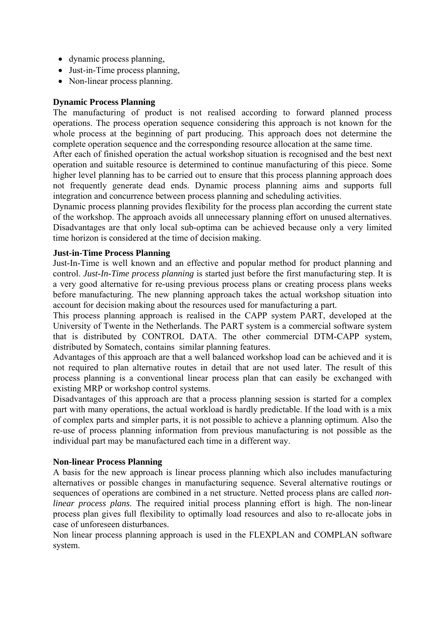- dynamic process planning,
- Just-in-Time process planning,
- Non-linear process planning.

### **Dynamic Process Planning**

The manufacturing of product is not realised according to forward planned process operations. The process operation sequence considering this approach is not known for the whole process at the beginning of part producing. This approach does not determine the complete operation sequence and the corresponding resource allocation at the same time.

After each of finished operation the actual workshop situation is recognised and the best next operation and suitable resource is determined to continue manufacturing of this piece. Some higher level planning has to be carried out to ensure that this process planning approach does not frequently generate dead ends. Dynamic process planning aims and supports full integration and concurrence between process planning and scheduling activities.

Dynamic process planning provides flexibility for the process plan according the current state of the workshop. The approach avoids all unnecessary planning effort on unused alternatives. Disadvantages are that only local sub-optima can be achieved because only a very limited time horizon is considered at the time of decision making.

### **Just-in-Time Process Planning**

Just-In-Time is well known and an effective and popular method for product planning and control. *Just-In-Time process planning* is started just before the first manufacturing step. It is a very good alternative for re-using previous process plans or creating process plans weeks before manufacturing. The new planning approach takes the actual workshop situation into account for decision making about the resources used for manufacturing a part.

This process planning approach is realised in the CAPP system PART, developed at the University of Twente in the Netherlands. The PART system is a commercial software system that is distributed by CONTROL DATA. The other commercial DTM-CAPP system, distributed by Somatech, contains similar planning features.

Advantages of this approach are that a well balanced workshop load can be achieved and it is not required to plan alternative routes in detail that are not used later. The result of this process planning is a conventional linear process plan that can easily be exchanged with existing MRP or workshop control systems.

Disadvantages of this approach are that a process planning session is started for a complex part with many operations, the actual workload is hardly predictable. If the load with is a mix of complex parts and simpler parts, it is not possible to achieve a planning optimum. Also the re-use of process planning information from previous manufacturing is not possible as the individual part may be manufactured each time in a different way.

### **Non-linear Process Planning**

A basis for the new approach is linear process planning which also includes manufacturing alternatives or possible changes in manufacturing sequence. Several alternative routings or sequences of operations are combined in a net structure. Netted process plans are called *nonlinear process plans*. The required initial process planning effort is high. The non-linear process plan gives full flexibility to optimally load resources and also to re-allocate jobs in case of unforeseen disturbances.

Non linear process planning approach is used in the FLEXPLAN and COMPLAN software system.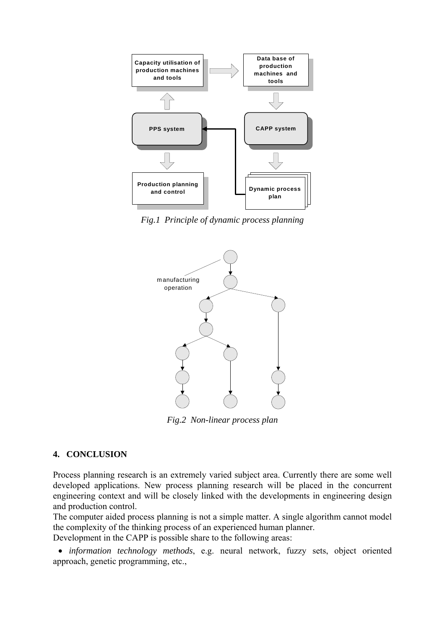

*Fig.1 Principle of dynamic process planning* 



*Fig.2 Non-linear process plan* 

### **4. CONCLUSION**

Process planning research is an extremely varied subject area. Currently there are some well developed applications. New process planning research will be placed in the concurrent engineering context and will be closely linked with the developments in engineering design and production control.

The computer aided process planning is not a simple matter. A single algorithm cannot model the complexity of the thinking process of an experienced human planner.

Development in the CAPP is possible share to the following areas:

• *information technology methods*, e.g. neural network, fuzzy sets, object oriented approach, genetic programming, etc.,